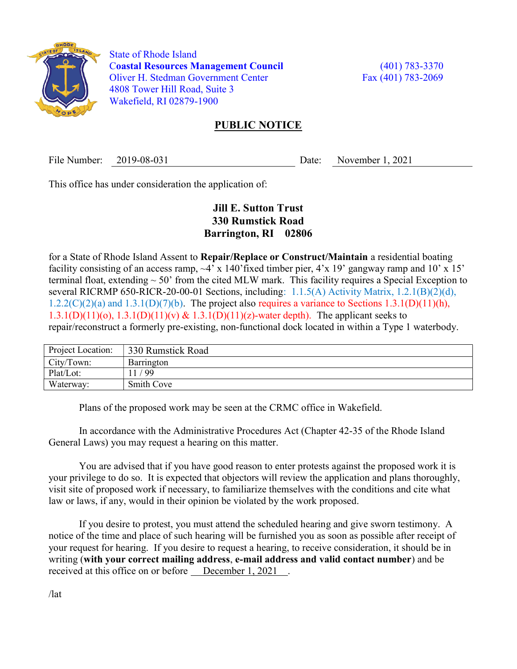

 State of Rhode Island Coastal Resources Management Council (401) 783-3370 Oliver H. Stedman Government Center Fax (401) 783-2069 4808 Tower Hill Road, Suite 3 Wakefield, RI 02879-1900

## PUBLIC NOTICE

File Number: 2019-08-031 Date: November 1, 2021

This office has under consideration the application of:

## Jill E. Sutton Trust 330 Rumstick Road Barrington, RI 02806

for a State of Rhode Island Assent to Repair/Replace or Construct/Maintain a residential boating facility consisting of an access ramp,  $\sim$ 4' x 140' fixed timber pier, 4'x 19' gangway ramp and 10' x 15' terminal float, extending  $\sim$  50' from the cited MLW mark. This facility requires a Special Exception to several RICRMP 650-RICR-20-00-01 Sections, including:  $1.1.5(A)$  Activity Matrix,  $1.2.1(B)(2)(d)$ ,  $1.2.2(C)(2)(a)$  and  $1.3.1(D)(7)(b)$ . The project also requires a variance to Sections  $1.3.1(D)(11)(h)$ , 1.3.1(D)(11)(o), 1.3.1(D)(11)(v) & 1.3.1(D)(11)(z)-water depth). The applicant seeks to repair/reconstruct a formerly pre-existing, non-functional dock located in within a Type 1 waterbody.

| Project Location: | 330 Rumstick Road |
|-------------------|-------------------|
| City/Town:        | Barrington        |
| Plat/Lot:         | / 99              |
| Waterway:         | Smith Cove        |

Plans of the proposed work may be seen at the CRMC office in Wakefield.

In accordance with the Administrative Procedures Act (Chapter 42-35 of the Rhode Island General Laws) you may request a hearing on this matter.

You are advised that if you have good reason to enter protests against the proposed work it is your privilege to do so. It is expected that objectors will review the application and plans thoroughly, visit site of proposed work if necessary, to familiarize themselves with the conditions and cite what law or laws, if any, would in their opinion be violated by the work proposed.

If you desire to protest, you must attend the scheduled hearing and give sworn testimony. A notice of the time and place of such hearing will be furnished you as soon as possible after receipt of your request for hearing. If you desire to request a hearing, to receive consideration, it should be in writing (with your correct mailing address, e-mail address and valid contact number) and be received at this office on or before December 1, 2021.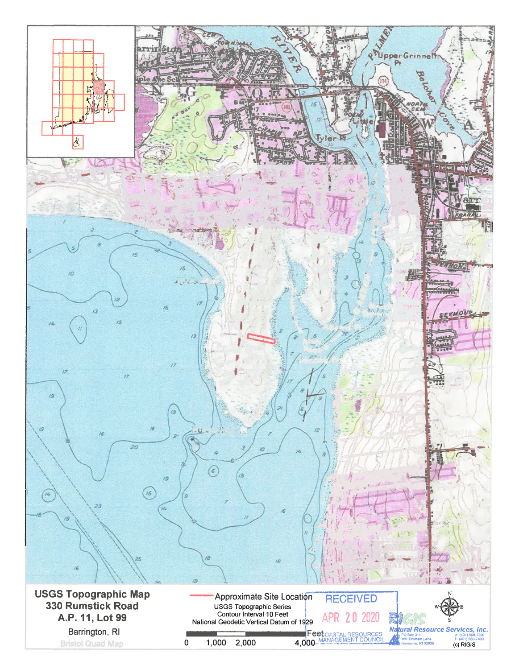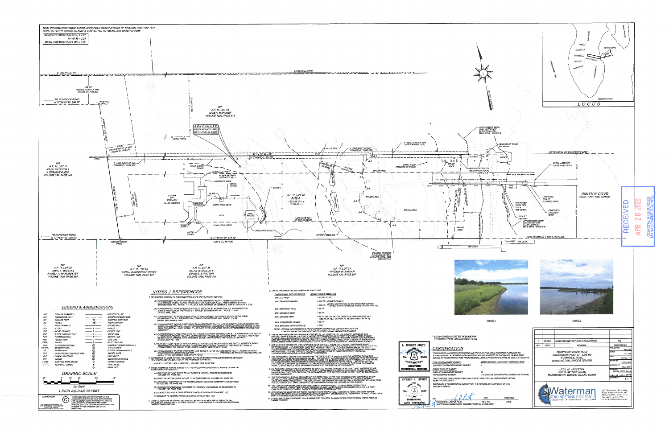